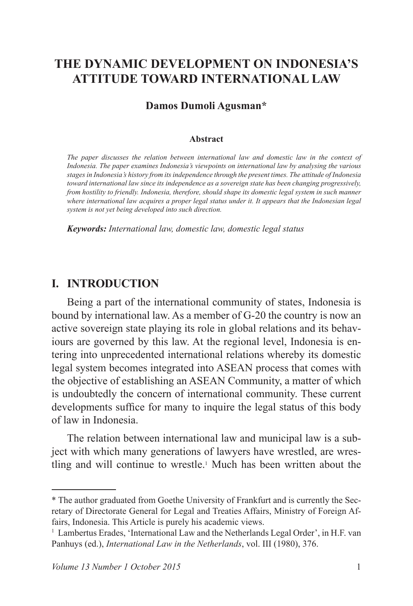# **THE DYNAMIC DEVELOPMENT ON INDONESIA'S ATTITUDE TOWARD INTERNATIONAL LAW**

#### **Damos Dumoli Agusman\***

#### **Abstract**

*The paper discusses the relation between international law and domestic law in the context of Indonesia. The paper examines Indonesia's viewpoints on international law by analysing the various stages in Indonesia's history from its independence through the present times. The attitude of Indonesia toward international law since its independence as a sovereign state has been changing progressively, from hostility to friendly. Indonesia, therefore, should shape its domestic legal system in such manner where international law acquires a proper legal status under it. It appears that the Indonesian legal system is not yet being developed into such direction.*

*Keywords: International law, domestic law, domestic legal status*

### **I. INTRODUCTION**

Being a part of the international community of states, Indonesia is bound by international law. As a member of G-20 the country is now an active sovereign state playing its role in global relations and its behaviours are governed by this law. At the regional level, Indonesia is entering into unprecedented international relations whereby its domestic legal system becomes integrated into ASEAN process that comes with the objective of establishing an ASEAN Community, a matter of which is undoubtedly the concern of international community. These current developments suffice for many to inquire the legal status of this body of law in Indonesia.

The relation between international law and municipal law is a subject with which many generations of lawyers have wrestled, are wrestling and will continue to wrestle.<sup>1</sup> Much has been written about the

<sup>\*</sup> The author graduated from Goethe University of Frankfurt and is currently the Secretary of Directorate General for Legal and Treaties Affairs, Ministry of Foreign Affairs, Indonesia. This Article is purely his academic views.

<sup>&</sup>lt;sup>1</sup> Lambertus Erades, 'International Law and the Netherlands Legal Order', in H.F. van Panhuys (ed.), *International Law in the Netherlands*, vol. III (1980), 376.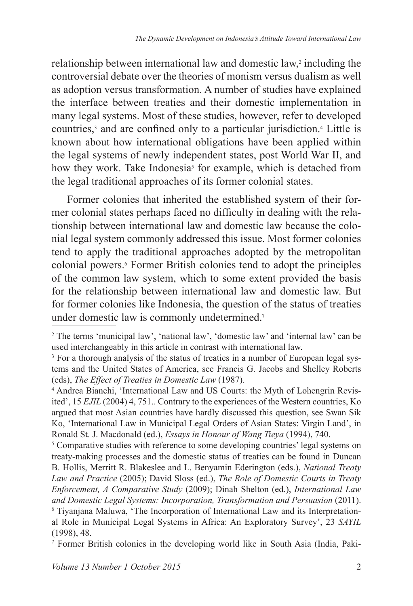relationship between international law and domestic law,<sup>2</sup> including the controversial debate over the theories of monism versus dualism as well as adoption versus transformation. A number of studies have explained the interface between treaties and their domestic implementation in many legal systems. Most of these studies, however, refer to developed countries,<sup>3</sup> and are confined only to a particular jurisdiction.<sup>4</sup> Little is known about how international obligations have been applied within the legal systems of newly independent states, post World War II, and how they work. Take Indonesia<sup>s</sup> for example, which is detached from the legal traditional approaches of its former colonial states.

Former colonies that inherited the established system of their former colonial states perhaps faced no difficulty in dealing with the relationship between international law and domestic law because the colonial legal system commonly addressed this issue. Most former colonies tend to apply the traditional approaches adopted by the metropolitan colonial powers.<sup>6</sup> Former British colonies tend to adopt the principles of the common law system, which to some extent provided the basis for the relationship between international law and domestic law. But for former colonies like Indonesia, the question of the status of treaties under domestic law is commonly undetermined.<sup>7</sup>

<sup>5</sup> Comparative studies with reference to some developing countries' legal systems on treaty-making processes and the domestic status of treaties can be found in Duncan B. Hollis, Merritt R. Blakeslee and L. Benyamin Ederington (eds.), *National Treaty Law and Practice* (2005); David Sloss (ed.), *The Role of Domestic Courts in Treaty Enforcement, A Comparative Study* (2009); Dinah Shelton (ed.), *International Law and Domestic Legal Systems: Incorporation, Transformation and Persuasion* (2011). <sup>6</sup> Tiyanjana Maluwa, 'The Incorporation of International Law and its Interpretational Role in Municipal Legal Systems in Africa: An Exploratory Survey', 23 *SAYIL* (1998), 48.

7 Former British colonies in the developing world like in South Asia (India, Paki-

<sup>&</sup>lt;sup>2</sup> The terms 'municipal law', 'national law', 'domestic law' and 'internal law' can be used interchangeably in this article in contrast with international law.

<sup>&</sup>lt;sup>3</sup> For a thorough analysis of the status of treaties in a number of European legal systems and the United States of America, see Francis G. Jacobs and Shelley Roberts (eds), *The Effect of Treaties in Domestic Law* (1987).

<sup>4</sup> Andrea Bianchi, 'International Law and US Courts: the Myth of Lohengrin Revisited', 15 *EJIL* (2004) 4, 751.. Contrary to the experiences of the Western countries, Ko argued that most Asian countries have hardly discussed this question, see Swan Sik Ko, 'International Law in Municipal Legal Orders of Asian States: Virgin Land', in Ronald St. J. Macdonald (ed.), *Essays in Honour of Wang Tieya* (1994), 740.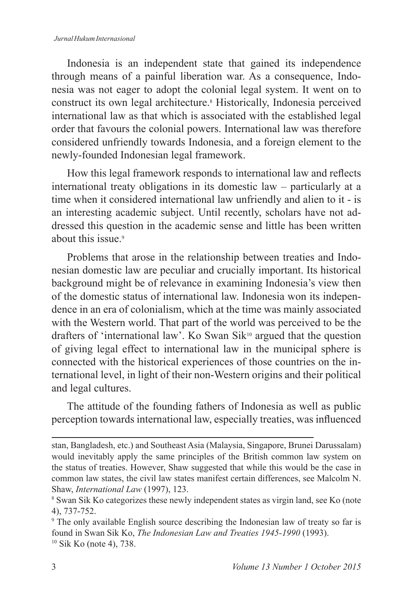Indonesia is an independent state that gained its independence through means of a painful liberation war. As a consequence, Indonesia was not eager to adopt the colonial legal system. It went on to construct its own legal architecture.<sup>8</sup> Historically, Indonesia perceived international law as that which is associated with the established legal order that favours the colonial powers. International law was therefore considered unfriendly towards Indonesia, and a foreign element to the newly-founded Indonesian legal framework.

How this legal framework responds to international law and reflects international treaty obligations in its domestic law – particularly at a time when it considered international law unfriendly and alien to it - is an interesting academic subject. Until recently, scholars have not addressed this question in the academic sense and little has been written about this issue.<sup>9</sup>

Problems that arose in the relationship between treaties and Indonesian domestic law are peculiar and crucially important. Its historical background might be of relevance in examining Indonesia's view then of the domestic status of international law. Indonesia won its independence in an era of colonialism, which at the time was mainly associated with the Western world. That part of the world was perceived to be the drafters of 'international law'. Ko Swan Sik<sup>10</sup> argued that the question of giving legal effect to international law in the municipal sphere is connected with the historical experiences of those countries on the international level, in light of their non-Western origins and their political and legal cultures.

The attitude of the founding fathers of Indonesia as well as public perception towards international law, especially treaties, was influenced

stan, Bangladesh, etc.) and Southeast Asia (Malaysia, Singapore, Brunei Darussalam) would inevitably apply the same principles of the British common law system on the status of treaties. However, Shaw suggested that while this would be the case in common law states, the civil law states manifest certain differences, see Malcolm N. Shaw, *International Law* (1997), 123.

<sup>8</sup> Swan Sik Ko categorizes these newly independent states as virgin land, see Ko (note 4), 737-752.

<sup>9</sup> The only available English source describing the Indonesian law of treaty so far is found in Swan Sik Ko, *The Indonesian Law and Treaties 1945-1990* (1993). 10 Sik Ko (note 4), 738.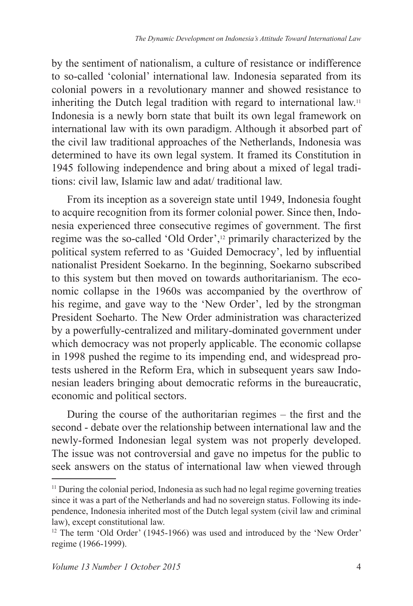by the sentiment of nationalism, a culture of resistance or indifference to so-called 'colonial' international law. Indonesia separated from its colonial powers in a revolutionary manner and showed resistance to inheriting the Dutch legal tradition with regard to international law.<sup>11</sup> Indonesia is a newly born state that built its own legal framework on international law with its own paradigm. Although it absorbed part of the civil law traditional approaches of the Netherlands, Indonesia was determined to have its own legal system. It framed its Constitution in 1945 following independence and bring about a mixed of legal traditions: civil law, Islamic law and adat/ traditional law.

From its inception as a sovereign state until 1949, Indonesia fought to acquire recognition from its former colonial power. Since then, Indonesia experienced three consecutive regimes of government. The first regime was the so-called 'Old Order',12 primarily characterized by the political system referred to as 'Guided Democracy', led by influential nationalist President Soekarno. In the beginning, Soekarno subscribed to this system but then moved on towards authoritarianism. The economic collapse in the 1960s was accompanied by the overthrow of his regime, and gave way to the 'New Order', led by the strongman President Soeharto. The New Order administration was characterized by a powerfully-centralized and military-dominated government under which democracy was not properly applicable. The economic collapse in 1998 pushed the regime to its impending end, and widespread protests ushered in the Reform Era, which in subsequent years saw Indonesian leaders bringing about democratic reforms in the bureaucratic, economic and political sectors.

During the course of the authoritarian regimes – the first and the second - debate over the relationship between international law and the newly-formed Indonesian legal system was not properly developed. The issue was not controversial and gave no impetus for the public to seek answers on the status of international law when viewed through

<sup>&</sup>lt;sup>11</sup> During the colonial period, Indonesia as such had no legal regime governing treaties since it was a part of the Netherlands and had no sovereign status. Following its independence, Indonesia inherited most of the Dutch legal system (civil law and criminal law), except constitutional law.

<sup>&</sup>lt;sup>12</sup> The term 'Old Order' (1945-1966) was used and introduced by the 'New Order' regime (1966-1999).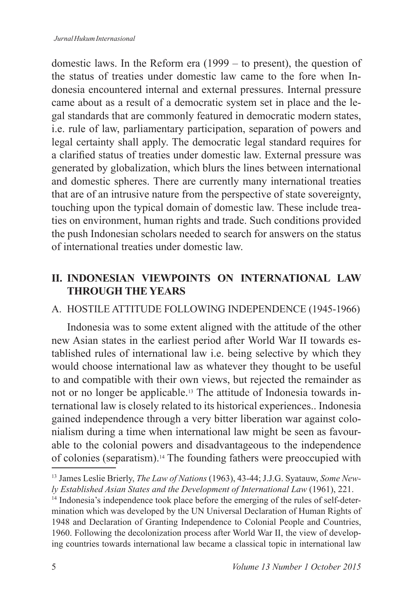domestic laws. In the Reform era (1999 – to present), the question of the status of treaties under domestic law came to the fore when Indonesia encountered internal and external pressures. Internal pressure came about as a result of a democratic system set in place and the legal standards that are commonly featured in democratic modern states, i.e. rule of law, parliamentary participation, separation of powers and legal certainty shall apply. The democratic legal standard requires for a clarified status of treaties under domestic law. External pressure was generated by globalization, which blurs the lines between international and domestic spheres. There are currently many international treaties that are of an intrusive nature from the perspective of state sovereignty, touching upon the typical domain of domestic law. These include treaties on environment, human rights and trade. Such conditions provided the push Indonesian scholars needed to search for answers on the status of international treaties under domestic law.

## **II. INDONESIAN VIEWPOINTS ON INTERNATIONAL LAW THROUGH THE YEARS**

## A. HOSTILE ATTITUDE fOLLOWING INDEPENDENCE (1945-1966)

Indonesia was to some extent aligned with the attitude of the other new Asian states in the earliest period after World War II towards established rules of international law i.e. being selective by which they would choose international law as whatever they thought to be useful to and compatible with their own views, but rejected the remainder as not or no longer be applicable.13 The attitude of Indonesia towards international law is closely related to its historical experiences.. Indonesia gained independence through a very bitter liberation war against colonialism during a time when international law might be seen as favourable to the colonial powers and disadvantageous to the independence of colonies (separatism).14 The founding fathers were preoccupied with

<sup>13</sup> James Leslie Brierly, *The Law of Nations* (1963), 43-44; J.J.G. Syatauw, *Some Newly Established Asian States and the Development of International Law* (1961), 221.

<sup>&</sup>lt;sup>14</sup> Indonesia's independence took place before the emerging of the rules of self-determination which was developed by the UN Universal Declaration of Human Rights of 1948 and Declaration of Granting Independence to Colonial People and Countries, 1960. Following the decolonization process after World War II, the view of developing countries towards international law became a classical topic in international law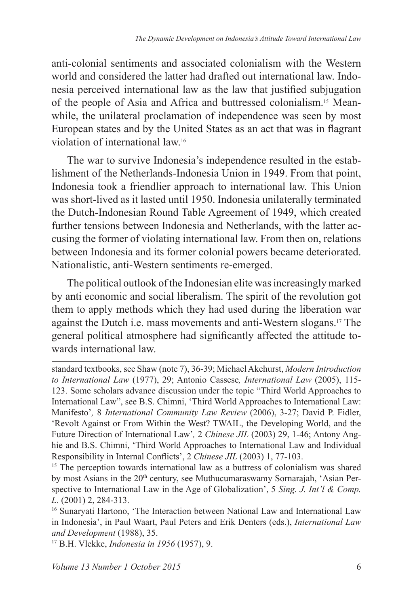anti-colonial sentiments and associated colonialism with the Western world and considered the latter had drafted out international law. Indonesia perceived international law as the law that justified subjugation of the people of Asia and Africa and buttressed colonialism.15 Meanwhile, the unilateral proclamation of independence was seen by most European states and by the United States as an act that was in flagrant violation of international law.<sup>16</sup>

The war to survive Indonesia's independence resulted in the establishment of the Netherlands-Indonesia Union in 1949. From that point, Indonesia took a friendlier approach to international law. This Union was short-lived as it lasted until 1950. Indonesia unilaterally terminated the Dutch-Indonesian Round Table Agreement of 1949, which created further tensions between Indonesia and Netherlands, with the latter accusing the former of violating international law. From then on, relations between Indonesia and its former colonial powers became deteriorated. Nationalistic, anti-Western sentiments re-emerged.

The political outlook of the Indonesian elite was increasingly marked by anti economic and social liberalism. The spirit of the revolution got them to apply methods which they had used during the liberation war against the Dutch i.e. mass movements and anti-Western slogans.17 The general political atmosphere had significantly affected the attitude towards international law.

standard textbooks, see Shaw (note 7), 36-39; Michael Akehurst, *Modern Introduction to International Law* (1977), 29; Antonio Cassese*, International Law* (2005), 115- 123. Some scholars advance discussion under the topic "Third World Approaches to International Law", see B.S. Chimni, 'Third World Approaches to International Law: Manifesto'*,* 8 *International Community Law Review* (2006), 3-27; David P. fidler, 'Revolt Against or From Within the West? TWAIL, the Developing World, and the Future Direction of International Law'*,* 2 *Chinese JIL* (2003) 29, 1-46; Antony Anghie and B.S. Chimni, 'Third World Approaches to International Law and Individual Responsibility in Internal Conflicts', 2 *Chinese JIL* (2003) 1, 77-103.

<sup>&</sup>lt;sup>15</sup> The perception towards international law as a buttress of colonialism was shared by most Asians in the 20<sup>th</sup> century, see Muthucumaraswamy Sornarajah, 'Asian Perspective to International Law in the Age of Globalization', 5 *Sing. J. Int'l & Comp. L*. (2001) 2, 284-313.

<sup>&</sup>lt;sup>16</sup> Sunaryati Hartono, 'The Interaction between National Law and International Law in Indonesia', in Paul Waart, Paul Peters and Erik Denters (eds.), *International Law and Development* (1988), 35.

<sup>17</sup> B.H. Vlekke, *Indonesia in 1956* (1957), 9.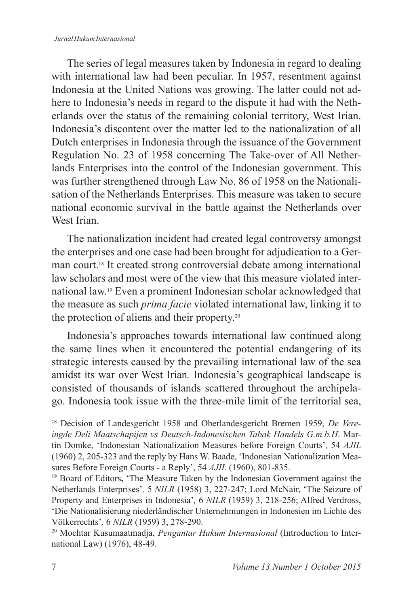#### *Jurnal Hukum Internasional*

The series of legal measures taken by Indonesia in regard to dealing with international law had been peculiar. In 1957, resentment against Indonesia at the United Nations was growing. The latter could not adhere to Indonesia's needs in regard to the dispute it had with the Netherlands over the status of the remaining colonial territory, West Irian. Indonesia's discontent over the matter led to the nationalization of all Dutch enterprises in Indonesia through the issuance of the Government Regulation No. 23 of 1958 concerning The Take-over of All Netherlands Enterprises into the control of the Indonesian government. This was further strengthened through Law No. 86 of 1958 on the Nationalisation of the Netherlands Enterprises. This measure was taken to secure national economic survival in the battle against the Netherlands over West Irian

The nationalization incident had created legal controversy amongst the enterprises and one case had been brought for adjudication to a German court.18 It created strong controversial debate among international law scholars and most were of the view that this measure violated international law.19 Even a prominent Indonesian scholar acknowledged that the measure as such *prima facie* violated international law, linking it to the protection of aliens and their property.<sup>20</sup>

Indonesia's approaches towards international law continued along the same lines when it encountered the potential endangering of its strategic interests caused by the prevailing international law of the sea amidst its war over West Irian*.* Indonesia's geographical landscape is consisted of thousands of islands scattered throughout the archipelago. Indonesia took issue with the three-mile limit of the territorial sea,

<sup>18</sup> Decision of Landesgericht 1958 and Oberlandesgericht Bremen 1959, *De Vereingde Deli Maatschapijen vs Deutsch-Indonesischen Tabak Handels G.m.b.H*. Martin Domke, 'Indonesian Nationalization Measures before Foreign Courts'*,* 54 *AJIL* (1960) 2, 205-323 and the reply by Hans W. Baade, 'Indonesian Nationalization Measures Before foreign Courts - a Reply', 54 *AJIL* (1960), 801-835.

<sup>&</sup>lt;sup>19</sup> Board of Editors, 'The Measure Taken by the Indonesian Government against the Netherlands Enterprises'*,* 5 *NILR* (1958) 3, 227-247; Lord McNair, 'The Seizure of Property and Enterprises in Indonesia'*,* 6 *NILR* (1959) 3, 218-256; Alfred Verdross, 'Die Nationalisierung niederländischer Unternehmungen in Indonesien im Lichte des Völkerrechts'*,* 6 *NILR* (1959) 3, 278-290.

<sup>20</sup> Mochtar Kusumaatmadja, *Pengantar Hukum Internasional* (Introduction to International Law) (1976), 48-49.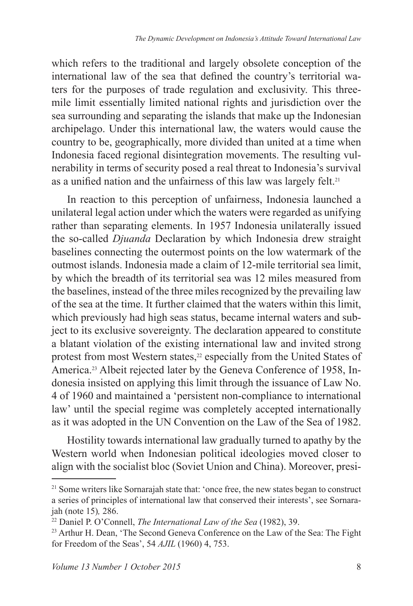which refers to the traditional and largely obsolete conception of the international law of the sea that defined the country's territorial waters for the purposes of trade regulation and exclusivity. This threemile limit essentially limited national rights and jurisdiction over the sea surrounding and separating the islands that make up the Indonesian archipelago. Under this international law, the waters would cause the country to be, geographically, more divided than united at a time when Indonesia faced regional disintegration movements. The resulting vulnerability in terms of security posed a real threat to Indonesia's survival as a unified nation and the unfairness of this law was largely felt.<sup>21</sup>

In reaction to this perception of unfairness, Indonesia launched a unilateral legal action under which the waters were regarded as unifying rather than separating elements. In 1957 Indonesia unilaterally issued the so-called *Djuanda* Declaration by which Indonesia drew straight baselines connecting the outermost points on the low watermark of the outmost islands. Indonesia made a claim of 12-mile territorial sea limit, by which the breadth of its territorial sea was 12 miles measured from the baselines, instead of the three miles recognized by the prevailing law of the sea at the time. It further claimed that the waters within this limit, which previously had high seas status, became internal waters and subject to its exclusive sovereignty. The declaration appeared to constitute a blatant violation of the existing international law and invited strong protest from most Western states,<sup>22</sup> especially from the United States of America.23 Albeit rejected later by the Geneva Conference of 1958, Indonesia insisted on applying this limit through the issuance of Law No. 4 of 1960 and maintained a 'persistent non-compliance to international law' until the special regime was completely accepted internationally as it was adopted in the UN Convention on the Law of the Sea of 1982.

Hostility towards international law gradually turned to apathy by the Western world when Indonesian political ideologies moved closer to align with the socialist bloc (Soviet Union and China). Moreover, presi-

<sup>&</sup>lt;sup>21</sup> Some writers like Sornarajah state that: 'once free, the new states began to construct a series of principles of international law that conserved their interests', see Sornarajah (note 15)*,* 286.

<sup>22</sup> Daniel P. O'Connell, *The International Law of the Sea* (1982), 39.

<sup>&</sup>lt;sup>23</sup> Arthur H. Dean, 'The Second Geneva Conference on the Law of the Sea: The Fight for freedom of the Seas', 54 *AJIL* (1960) 4, 753.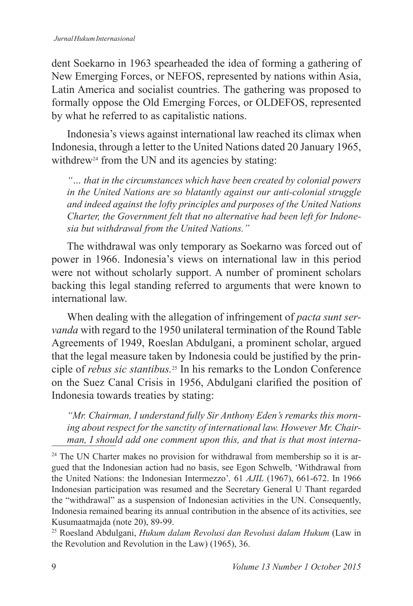dent Soekarno in 1963 spearheaded the idea of forming a gathering of New Emerging Forces, or NEFOS, represented by nations within Asia, Latin America and socialist countries. The gathering was proposed to formally oppose the Old Emerging Forces, or OLDEFOS, represented by what he referred to as capitalistic nations.

Indonesia's views against international law reached its climax when Indonesia, through a letter to the United Nations dated 20 January 1965, withdrew<sup>24</sup> from the UN and its agencies by stating:

*"… that in the circumstances which have been created by colonial powers in the United Nations are so blatantly against our anti-colonial struggle and indeed against the lofty principles and purposes of the United Nations Charter, the Government felt that no alternative had been left for Indonesia but withdrawal from the United Nations."*

The withdrawal was only temporary as Soekarno was forced out of power in 1966. Indonesia's views on international law in this period were not without scholarly support. A number of prominent scholars backing this legal standing referred to arguments that were known to international law.

When dealing with the allegation of infringement of *pacta sunt servanda* with regard to the 1950 unilateral termination of the Round Table Agreements of 1949, Roeslan Abdulgani, a prominent scholar, argued that the legal measure taken by Indonesia could be justified by the principle of *rebus sic stantibus.*25 In his remarks to the London Conference on the Suez Canal Crisis in 1956, Abdulgani clarified the position of Indonesia towards treaties by stating:

*"Mr. Chairman, I understand fully Sir Anthony Eden's remarks this morning about respect for the sanctity of international law. However Mr. Chairman, I should add one comment upon this, and that is that most interna-*

<sup>25</sup> Roesland Abdulgani, *Hukum dalam Revolusi dan Revolusi dalam Hukum* (Law in the Revolution and Revolution in the Law) (1965), 36.

<sup>&</sup>lt;sup>24</sup> The UN Charter makes no provision for withdrawal from membership so it is argued that the Indonesian action had no basis, see Egon Schwelb, 'Withdrawal from the United Nations: the Indonesian Intermezzo'*,* 61 *AJIL* (1967), 661-672. In 1966 Indonesian participation was resumed and the Secretary General U Thant regarded the "withdrawal" as a suspension of Indonesian activities in the UN. Consequently, Indonesia remained bearing its annual contribution in the absence of its activities, see Kusumaatmajda (note 20), 89-99.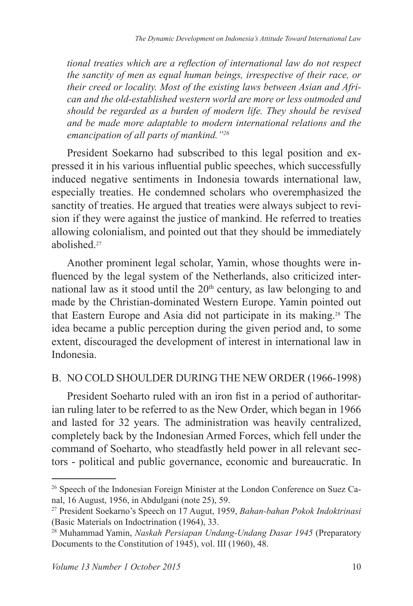*tional treaties which are a reflection of international law do not respect the sanctity of men as equal human beings, irrespective of their race, or their creed or locality. Most of the existing laws between Asian and African and the old-established western world are more or less outmoded and should be regarded as a burden of modern life. They should be revised and be made more adaptable to modern international relations and the emancipation of all parts of mankind."<sup>26</sup>*

President Soekarno had subscribed to this legal position and expressed it in his various influential public speeches, which successfully induced negative sentiments in Indonesia towards international law, especially treaties. He condemned scholars who overemphasized the sanctity of treaties. He argued that treaties were always subject to revision if they were against the justice of mankind. He referred to treaties allowing colonialism, and pointed out that they should be immediately abolished<sup>27</sup>

Another prominent legal scholar, Yamin, whose thoughts were influenced by the legal system of the Netherlands, also criticized international law as it stood until the  $20<sup>th</sup>$  century, as law belonging to and made by the Christian-dominated Western Europe. Yamin pointed out that Eastern Europe and Asia did not participate in its making.28 The idea became a public perception during the given period and, to some extent, discouraged the development of interest in international law in Indonesia.

## B. NO COLD SHOULDER DURING THE NEW ORDER (1966-1998)

President Soeharto ruled with an iron fist in a period of authoritarian ruling later to be referred to as the New Order, which began in 1966 and lasted for 32 years. The administration was heavily centralized, completely back by the Indonesian Armed Forces, which fell under the command of Soeharto, who steadfastly held power in all relevant sectors - political and public governance, economic and bureaucratic. In

<sup>26</sup> Speech of the Indonesian Foreign Minister at the London Conference on Suez Canal, 16 August, 1956, in Abdulgani (note 25), 59.

<sup>27</sup> President Soekarno's Speech on 17 Augut, 1959, *Bahan-bahan Pokok Indoktrinasi* (Basic Materials on Indoctrination (1964), 33.

<sup>28</sup> Muhammad Yamin, *Naskah Persiapan Undang-Undang Dasar 1945* (Preparatory Documents to the Constitution of 1945), vol. III (1960), 48.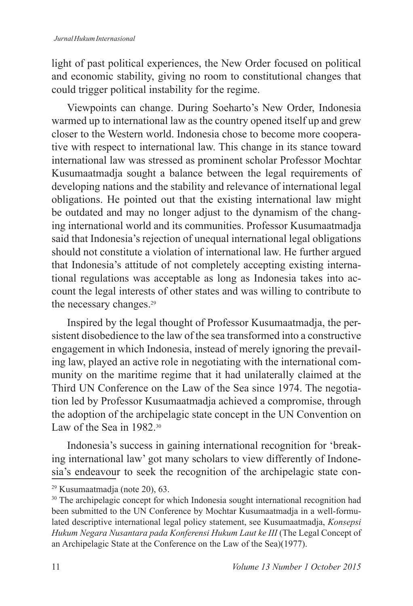light of past political experiences, the New Order focused on political and economic stability, giving no room to constitutional changes that could trigger political instability for the regime.

Viewpoints can change. During Soeharto's New Order, Indonesia warmed up to international law as the country opened itself up and grew closer to the Western world. Indonesia chose to become more cooperative with respect to international law. This change in its stance toward international law was stressed as prominent scholar Professor Mochtar Kusumaatmadja sought a balance between the legal requirements of developing nations and the stability and relevance of international legal obligations. He pointed out that the existing international law might be outdated and may no longer adjust to the dynamism of the changing international world and its communities. Professor Kusumaatmadja said that Indonesia's rejection of unequal international legal obligations should not constitute a violation of international law. He further argued that Indonesia's attitude of not completely accepting existing international regulations was acceptable as long as Indonesia takes into account the legal interests of other states and was willing to contribute to the necessary changes.<sup>29</sup>

Inspired by the legal thought of Professor Kusumaatmadja, the persistent disobedience to the law of the sea transformed into a constructive engagement in which Indonesia, instead of merely ignoring the prevailing law, played an active role in negotiating with the international community on the maritime regime that it had unilaterally claimed at the Third UN Conference on the Law of the Sea since 1974. The negotiation led by Professor Kusumaatmadja achieved a compromise, through the adoption of the archipelagic state concept in the UN Convention on Law of the Sea in 1982.<sup>30</sup>

Indonesia's success in gaining international recognition for 'breaking international law' got many scholars to view differently of Indonesia's endeavour to seek the recognition of the archipelagic state con-

<sup>29</sup> Kusumaatmadja (note 20), 63.

<sup>&</sup>lt;sup>30</sup> The archipelagic concept for which Indonesia sought international recognition had been submitted to the UN Conference by Mochtar Kusumaatmadja in a well-formulated descriptive international legal policy statement, see Kusumaatmadja, *Konsepsi*  Hukum Negara Nusantara pada Konferensi Hukum Laut ke III (The Legal Concept of an Archipelagic State at the Conference on the Law of the Sea)(1977).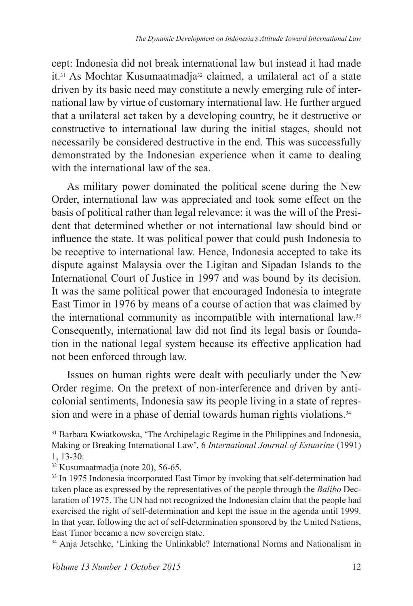cept: Indonesia did not break international law but instead it had made it.31 As Mochtar Kusumaatmadja32 claimed, a unilateral act of a state driven by its basic need may constitute a newly emerging rule of international law by virtue of customary international law. He further argued that a unilateral act taken by a developing country, be it destructive or constructive to international law during the initial stages, should not necessarily be considered destructive in the end. This was successfully demonstrated by the Indonesian experience when it came to dealing with the international law of the sea.

As military power dominated the political scene during the New Order, international law was appreciated and took some effect on the basis of political rather than legal relevance: it was the will of the President that determined whether or not international law should bind or influence the state. It was political power that could push Indonesia to be receptive to international law. Hence, Indonesia accepted to take its dispute against Malaysia over the Ligitan and Sipadan Islands to the International Court of Justice in 1997 and was bound by its decision. It was the same political power that encouraged Indonesia to integrate East Timor in 1976 by means of a course of action that was claimed by the international community as incompatible with international law.<sup>33</sup> Consequently, international law did not find its legal basis or foundation in the national legal system because its effective application had not been enforced through law.

Issues on human rights were dealt with peculiarly under the New Order regime. On the pretext of non-interference and driven by anticolonial sentiments, Indonesia saw its people living in a state of repression and were in a phase of denial towards human rights violations.<sup>34</sup>

34 Anja Jetschke, 'Linking the Unlinkable? International Norms and Nationalism in

<sup>31</sup> Barbara Kwiatkowska, 'The Archipelagic Regime in the Philippines and Indonesia, Making or Breaking International Law', 6 *International Journal of Estuarine* (1991) 1, 13-30.

<sup>32</sup> Kusumaatmadja (note 20), 56-65.

<sup>&</sup>lt;sup>33</sup> In 1975 Indonesia incorporated East Timor by invoking that self-determination had taken place as expressed by the representatives of the people through the *Balibo* Declaration of 1975. The UN had not recognized the Indonesian claim that the people had exercised the right of self-determination and kept the issue in the agenda until 1999. In that year, following the act of self-determination sponsored by the United Nations, East Timor became a new sovereign state.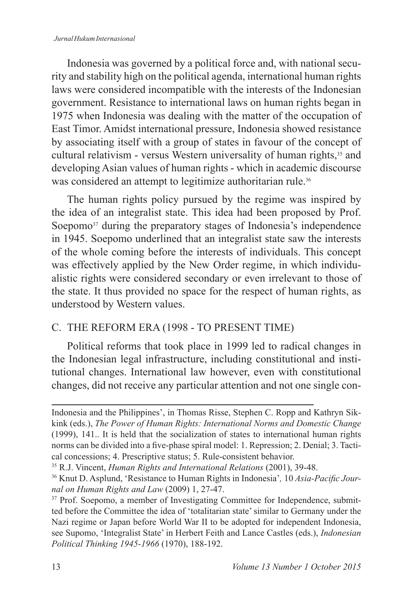#### *Jurnal Hukum Internasional*

Indonesia was governed by a political force and, with national security and stability high on the political agenda, international human rights laws were considered incompatible with the interests of the Indonesian government. Resistance to international laws on human rights began in 1975 when Indonesia was dealing with the matter of the occupation of East Timor. Amidst international pressure, Indonesia showed resistance by associating itself with a group of states in favour of the concept of cultural relativism - versus Western universality of human rights,<sup>35</sup> and developing Asian values of human rights - which in academic discourse was considered an attempt to legitimize authoritarian rule.<sup>36</sup>

The human rights policy pursued by the regime was inspired by the idea of an integralist state. This idea had been proposed by Prof. Soepomo<sup>37</sup> during the preparatory stages of Indonesia's independence in 1945. Soepomo underlined that an integralist state saw the interests of the whole coming before the interests of individuals. This concept was effectively applied by the New Order regime, in which individualistic rights were considered secondary or even irrelevant to those of the state. It thus provided no space for the respect of human rights, as understood by Western values.

## C. THE REFORM ERA (1998 - TO PRESENT TIME)

Political reforms that took place in 1999 led to radical changes in the Indonesian legal infrastructure, including constitutional and institutional changes. International law however, even with constitutional changes, did not receive any particular attention and not one single con-

Indonesia and the Philippines', in Thomas Risse, Stephen C. Ropp and Kathryn Sikkink (eds.), *The Power of Human Rights: International Norms and Domestic Change*  (1999), 141.. It is held that the socialization of states to international human rights norms can be divided into a five-phase spiral model: 1. Repression; 2. Denial; 3. Tactical concessions; 4. Prescriptive status; 5. Rule-consistent behavior.

<sup>35</sup> R.J. Vincent, *Human Rights and International Relations* (2001), 39-48.

<sup>36</sup> Knut D. Asplund, 'Resistance to Human Rights in Indonesia'*,* 10 *Asia-Pacific Journal on Human Rights and Law* (2009) 1, 27-47.

<sup>&</sup>lt;sup>37</sup> Prof. Soepomo, a member of Investigating Committee for Independence, submitted before the Committee the idea of 'totalitarian state' similar to Germany under the Nazi regime or Japan before World War II to be adopted for independent Indonesia, see Supomo, 'Integralist State' in Herbert Feith and Lance Castles (eds.), *Indonesian Political Thinking 1945-1966* (1970), 188-192.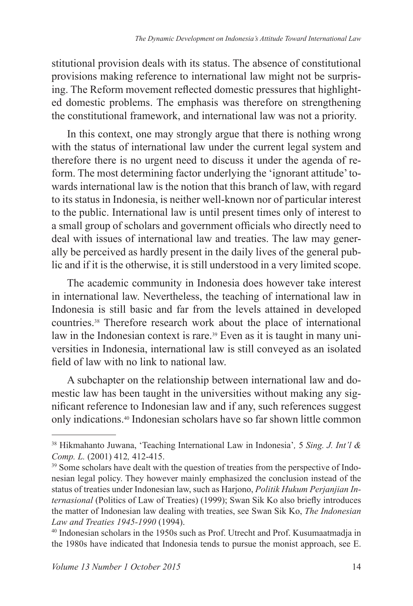stitutional provision deals with its status. The absence of constitutional provisions making reference to international law might not be surprising. The Reform movement reflected domestic pressures that highlighted domestic problems. The emphasis was therefore on strengthening the constitutional framework, and international law was not a priority.

In this context, one may strongly argue that there is nothing wrong with the status of international law under the current legal system and therefore there is no urgent need to discuss it under the agenda of reform. The most determining factor underlying the 'ignorant attitude' towards international law is the notion that this branch of law, with regard to its status in Indonesia, is neither well-known nor of particular interest to the public. International law is until present times only of interest to a small group of scholars and government officials who directly need to deal with issues of international law and treaties. The law may generally be perceived as hardly present in the daily lives of the general public and if it is the otherwise, it is still understood in a very limited scope.

The academic community in Indonesia does however take interest in international law. Nevertheless, the teaching of international law in Indonesia is still basic and far from the levels attained in developed countries.38 Therefore research work about the place of international law in the Indonesian context is rare.<sup>39</sup> Even as it is taught in many universities in Indonesia, international law is still conveyed as an isolated field of law with no link to national law.

A subchapter on the relationship between international law and domestic law has been taught in the universities without making any significant reference to Indonesian law and if any, such references suggest only indications.40 Indonesian scholars have so far shown little common

<sup>38</sup> Hikmahanto Juwana, 'Teaching International Law in Indonesia'*,* 5 *Sing. J. Int'l & Comp. L.* (2001) 412*,* 412-415.

<sup>&</sup>lt;sup>39</sup> Some scholars have dealt with the question of treaties from the perspective of Indonesian legal policy. They however mainly emphasized the conclusion instead of the status of treaties under Indonesian law, such as Harjono, *Politik Hukum Perjanjian Internasional* (Politics of Law of Treaties) (1999); Swan Sik Ko also briefly introduces the matter of Indonesian law dealing with treaties, see Swan Sik Ko, *The Indonesian Law and Treaties 1945-1990* (1994).

<sup>40</sup> Indonesian scholars in the 1950s such as Prof. Utrecht and Prof. Kusumaatmadja in the 1980s have indicated that Indonesia tends to pursue the monist approach, see E.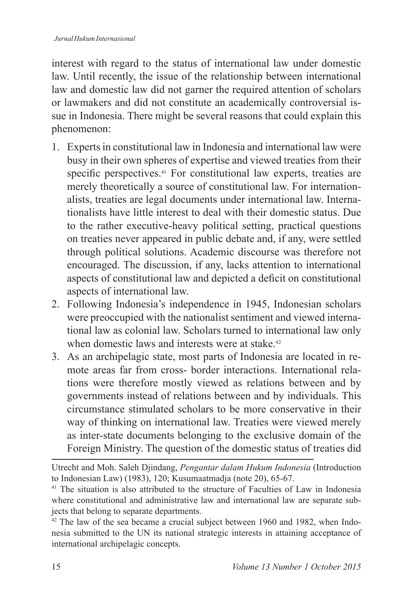interest with regard to the status of international law under domestic law. Until recently, the issue of the relationship between international law and domestic law did not garner the required attention of scholars or lawmakers and did not constitute an academically controversial issue in Indonesia. There might be several reasons that could explain this phenomenon:

- 1. Experts in constitutional law in Indonesia and international law were busy in their own spheres of expertise and viewed treaties from their specific perspectives.41 For constitutional law experts, treaties are merely theoretically a source of constitutional law. For internationalists, treaties are legal documents under international law. Internationalists have little interest to deal with their domestic status. Due to the rather executive-heavy political setting, practical questions on treaties never appeared in public debate and, if any, were settled through political solutions. Academic discourse was therefore not encouraged. The discussion, if any, lacks attention to international aspects of constitutional law and depicted a deficit on constitutional aspects of international law.
- 2. following Indonesia's independence in 1945, Indonesian scholars were preoccupied with the nationalist sentiment and viewed international law as colonial law. Scholars turned to international law only when domestic laws and interests were at stake.<sup>42</sup>
- 3. As an archipelagic state, most parts of Indonesia are located in remote areas far from cross- border interactions. International relations were therefore mostly viewed as relations between and by governments instead of relations between and by individuals. This circumstance stimulated scholars to be more conservative in their way of thinking on international law. Treaties were viewed merely as inter-state documents belonging to the exclusive domain of the foreign Ministry. The question of the domestic status of treaties did

Utrecht and Moh. Saleh Djindang, *Pengantar dalam Hukum Indonesia* (Introduction to Indonesian Law) (1983), 120; Kusumaatmadja (note 20), 65-67.

<sup>&</sup>lt;sup>41</sup> The situation is also attributed to the structure of Faculties of Law in Indonesia where constitutional and administrative law and international law are separate subjects that belong to separate departments.

 $42$  The law of the sea became a crucial subject between 1960 and 1982, when Indonesia submitted to the UN its national strategic interests in attaining acceptance of international archipelagic concepts.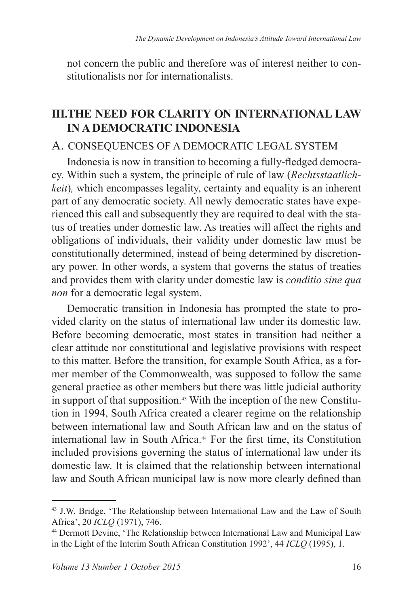not concern the public and therefore was of interest neither to constitutionalists nor for internationalists.

## **III.THE NEED FOR CLARITY ON INTERNATIONAL LAW IN A DEMOCRATIC INDONESIA**

## A. CONSEqUENCES OF A DEMOCRATIC LEGAL SYSTEM

Indonesia is now in transition to becoming a fully-fledged democracy. Within such a system, the principle of rule of law (*Rechtsstaatlichkeit*), which encompasses legality, certainty and equality is an inherent part of any democratic society. All newly democratic states have experienced this call and subsequently they are required to deal with the status of treaties under domestic law. As treaties will affect the rights and obligations of individuals, their validity under domestic law must be constitutionally determined, instead of being determined by discretionary power. In other words, a system that governs the status of treaties and provides them with clarity under domestic law is *conditio sine qua non* for a democratic legal system.

Democratic transition in Indonesia has prompted the state to provided clarity on the status of international law under its domestic law. Before becoming democratic, most states in transition had neither a clear attitude nor constitutional and legislative provisions with respect to this matter. Before the transition, for example South Africa, as a former member of the Commonwealth, was supposed to follow the same general practice as other members but there was little judicial authority in support of that supposition.<sup>43</sup> With the inception of the new Constitution in 1994, South Africa created a clearer regime on the relationship between international law and South African law and on the status of international law in South Africa.44 for the first time, its Constitution included provisions governing the status of international law under its domestic law. It is claimed that the relationship between international law and South African municipal law is now more clearly defined than

<sup>43</sup> J.W. Bridge, 'The Relationship between International Law and the Law of South Africa', 20 *ICLQ* (1971), 746.

<sup>44</sup> Dermott Devine, 'The Relationship between International Law and Municipal Law in the Light of the Interim South African Constitution 1992', 44 *ICLQ* (1995), 1.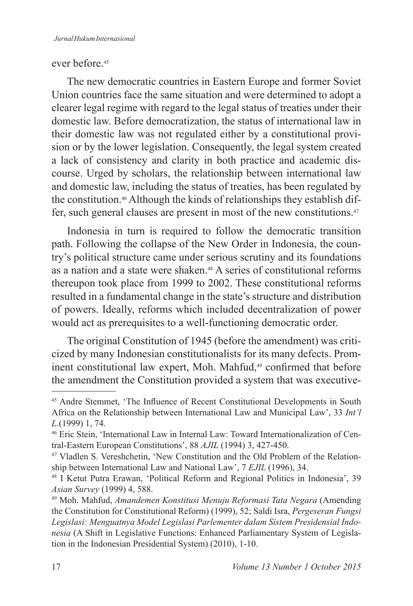### ever before<sup>45</sup>

The new democratic countries in Eastern Europe and former Soviet Union countries face the same situation and were determined to adopt a clearer legal regime with regard to the legal status of treaties under their domestic law. Before democratization, the status of international law in their domestic law was not regulated either by a constitutional provision or by the lower legislation. Consequently, the legal system created a lack of consistency and clarity in both practice and academic discourse. Urged by scholars, the relationship between international law and domestic law, including the status of treaties, has been regulated by the constitution.46 Although the kinds of relationships they establish differ, such general clauses are present in most of the new constitutions.<sup>47</sup>

Indonesia in turn is required to follow the democratic transition path. Following the collapse of the New Order in Indonesia, the country's political structure came under serious scrutiny and its foundations as a nation and a state were shaken.48 A series of constitutional reforms thereupon took place from 1999 to 2002. These constitutional reforms resulted in a fundamental change in the state's structure and distribution of powers. Ideally, reforms which included decentralization of power would act as prerequisites to a well-functioning democratic order.

The original Constitution of 1945 (before the amendment) was criticized by many Indonesian constitutionalists for its many defects. Prominent constitutional law expert, Moh. Mahfud,<sup>49</sup> confirmed that before the amendment the Constitution provided a system that was executive-

<sup>45</sup> Andre Stemmet, 'The Influence of Recent Constitutional Developments in South Africa on the Relationship between International Law and Municipal Law', 33 *Int'l L.*(1999) 1, 74.

<sup>46</sup> Eric Stein, 'International Law in Internal Law: Toward Internationalization of Central-Eastern European Constitutions', 88 *AJIL* (1994) 3, 427-450.

<sup>47</sup> Vladlen S. Vereshchetin, 'New Constitution and the Old Problem of the Relationship between International Law and National Law', 7 *EJIL* (1996), 34.

<sup>48</sup> I Ketut Putra Erawan, 'Political Reform and Regional Politics in Indonesia', 39 *Asian Survey* (1999) 4, 588.

<sup>49</sup> Moh. Mahfud, *Amandemen Konstitusi Menuju Reformasi Tata Negara* (Amending the Constitution for Constitutional Reform) (1999), 52; Saldi Isra, *Pergeseran Fungsi Legislasi: Menguatnya Model Legislasi Parlementer dalam Sistem Presidensial Indonesia* (A Shift in Legislative functions: Enhanced Parliamentary System of Legislation in the Indonesian Presidential System) (2010), 1-10.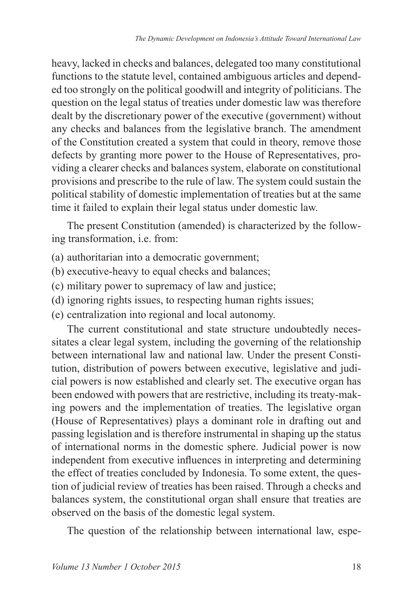heavy, lacked in checks and balances, delegated too many constitutional functions to the statute level, contained ambiguous articles and depended too strongly on the political goodwill and integrity of politicians. The question on the legal status of treaties under domestic law was therefore dealt by the discretionary power of the executive (government) without any checks and balances from the legislative branch. The amendment of the Constitution created a system that could in theory, remove those defects by granting more power to the House of Representatives, providing a clearer checks and balances system, elaborate on constitutional provisions and prescribe to the rule of law. The system could sustain the political stability of domestic implementation of treaties but at the same time it failed to explain their legal status under domestic law.

The present Constitution (amended) is characterized by the following transformation, i.e. from:

- (a) authoritarian into a democratic government;
- (b) executive-heavy to equal checks and balances;
- (c) military power to supremacy of law and justice;
- (d) ignoring rights issues, to respecting human rights issues;
- (e) centralization into regional and local autonomy.

The current constitutional and state structure undoubtedly necessitates a clear legal system, including the governing of the relationship between international law and national law. Under the present Constitution, distribution of powers between executive, legislative and judicial powers is now established and clearly set. The executive organ has been endowed with powers that are restrictive, including its treaty-making powers and the implementation of treaties. The legislative organ (House of Representatives) plays a dominant role in drafting out and passing legislation and is therefore instrumental in shaping up the status of international norms in the domestic sphere. Judicial power is now independent from executive influences in interpreting and determining the effect of treaties concluded by Indonesia. To some extent, the question of judicial review of treaties has been raised. Through a checks and balances system, the constitutional organ shall ensure that treaties are observed on the basis of the domestic legal system.

The question of the relationship between international law, espe-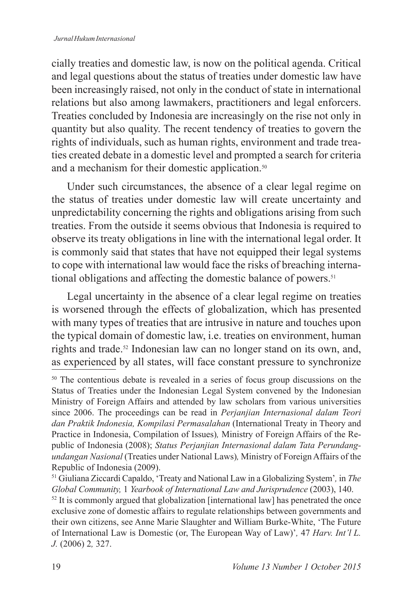#### *Jurnal Hukum Internasional*

cially treaties and domestic law, is now on the political agenda. Critical and legal questions about the status of treaties under domestic law have been increasingly raised, not only in the conduct of state in international relations but also among lawmakers, practitioners and legal enforcers. Treaties concluded by Indonesia are increasingly on the rise not only in quantity but also quality. The recent tendency of treaties to govern the rights of individuals, such as human rights, environment and trade treaties created debate in a domestic level and prompted a search for criteria and a mechanism for their domestic application.<sup>50</sup>

Under such circumstances, the absence of a clear legal regime on the status of treaties under domestic law will create uncertainty and unpredictability concerning the rights and obligations arising from such treaties. from the outside it seems obvious that Indonesia is required to observe its treaty obligations in line with the international legal order. It is commonly said that states that have not equipped their legal systems to cope with international law would face the risks of breaching international obligations and affecting the domestic balance of powers.<sup>51</sup>

Legal uncertainty in the absence of a clear legal regime on treaties is worsened through the effects of globalization, which has presented with many types of treaties that are intrusive in nature and touches upon the typical domain of domestic law, i.e. treaties on environment, human rights and trade.<sup>52</sup> Indonesian law can no longer stand on its own, and, as experienced by all states, will face constant pressure to synchronize

 $52$  It is commonly argued that globalization [international law] has penetrated the once exclusive zone of domestic affairs to regulate relationships between governments and their own citizens, see Anne Marie Slaughter and William Burke-White, 'The Future of International Law is Domestic (or, The European Way of Law)'*,* 47 *Harv. Int'l L. J.* (2006) 2*,* 327.

<sup>50</sup> The contentious debate is revealed in a series of focus group discussions on the Status of Treaties under the Indonesian Legal System convened by the Indonesian Ministry of Foreign Affairs and attended by law scholars from various universities since 2006. The proceedings can be read in *Perjanjian Internasional dalam Teori dan Praktik Indonesia, Kompilasi Permasalahan* (International Treaty in Theory and Practice in Indonesia, Compilation of Issues)*,* Ministry of Foreign Affairs of the Republic of Indonesia (2008); *Status Perjanjian Internasional dalam Tata Perundangundangan Nasional* (Treaties under National Laws)*,* Ministry of Foreign Affairs of the Republic of Indonesia (2009).

<sup>51</sup> Giuliana Ziccardi Capaldo, 'Treaty and National Law in a Globalizing System'*,* in *The Global Community,* 1 *Yearbook of International Law and Jurisprudence* (2003), 140.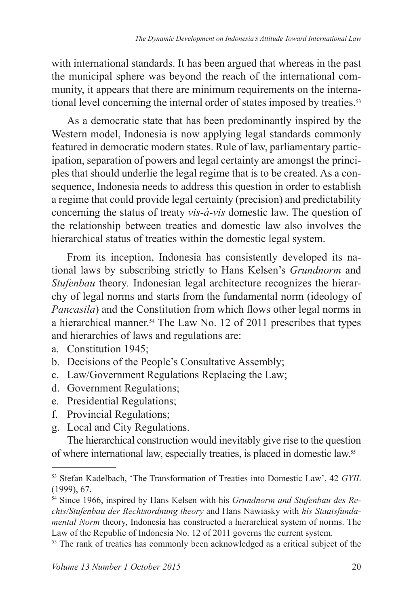with international standards. It has been argued that whereas in the past the municipal sphere was beyond the reach of the international community, it appears that there are minimum requirements on the international level concerning the internal order of states imposed by treaties.<sup>53</sup>

As a democratic state that has been predominantly inspired by the Western model, Indonesia is now applying legal standards commonly featured in democratic modern states. Rule of law, parliamentary participation, separation of powers and legal certainty are amongst the principles that should underlie the legal regime that is to be created. As a consequence, Indonesia needs to address this question in order to establish a regime that could provide legal certainty (precision) and predictability concerning the status of treaty *vis-à-vis* domestic law. The question of the relationship between treaties and domestic law also involves the hierarchical status of treaties within the domestic legal system.

From its inception, Indonesia has consistently developed its national laws by subscribing strictly to Hans Kelsen's *Grundnorm* and *Stufenbau* theory*.* Indonesian legal architecture recognizes the hierarchy of legal norms and starts from the fundamental norm (ideology of *Pancasila*) and the Constitution from which flows other legal norms in a hierarchical manner.54 The Law No. 12 of 2011 prescribes that types and hierarchies of laws and regulations are:

- a. Constitution 1945;
- b. Decisions of the People's Consultative Assembly;
- c. Law/Government Regulations Replacing the Law;
- d. Government Regulations;
- e. Presidential Regulations;
- f. Provincial Regulations;
- g. Local and City Regulations.

The hierarchical construction would inevitably give rise to the question of where international law, especially treaties, is placed in domestic law.<sup>55</sup>

<sup>53</sup> Stefan Kadelbach, 'The Transformation of Treaties into Domestic Law', 42 *GYIL* (1999), 67.

<sup>54</sup> Since 1966, inspired by Hans Kelsen with his *Grundnorm and Stufenbau des Rechts/Stufenbau der Rechtsordnung theory* and Hans Nawiasky with *his Staatsfundamental Norm* theory, Indonesia has constructed a hierarchical system of norms. The Law of the Republic of Indonesia No. 12 of 2011 governs the current system.

<sup>55</sup> The rank of treaties has commonly been acknowledged as a critical subject of the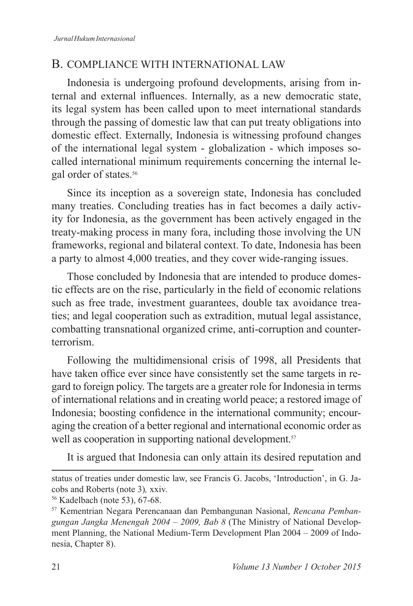## B. COMPLIANCE WITH INTERNATIONAL LAW

Indonesia is undergoing profound developments, arising from internal and external influences. Internally, as a new democratic state, its legal system has been called upon to meet international standards through the passing of domestic law that can put treaty obligations into domestic effect. Externally, Indonesia is witnessing profound changes of the international legal system - globalization - which imposes socalled international minimum requirements concerning the internal legal order of states.<sup>56</sup>

Since its inception as a sovereign state, Indonesia has concluded many treaties. Concluding treaties has in fact becomes a daily activity for Indonesia, as the government has been actively engaged in the treaty-making process in many fora, including those involving the UN frameworks, regional and bilateral context. To date, Indonesia has been a party to almost 4,000 treaties, and they cover wide-ranging issues.

Those concluded by Indonesia that are intended to produce domestic effects are on the rise, particularly in the field of economic relations such as free trade, investment guarantees, double tax avoidance treaties; and legal cooperation such as extradition, mutual legal assistance, combatting transnational organized crime, anti-corruption and counterterrorism.

Following the multidimensional crisis of 1998, all Presidents that have taken office ever since have consistently set the same targets in regard to foreign policy. The targets are a greater role for Indonesia in terms of international relations and in creating world peace; a restored image of Indonesia; boosting confidence in the international community; encouraging the creation of a better regional and international economic order as well as cooperation in supporting national development.<sup>57</sup>

It is argued that Indonesia can only attain its desired reputation and

status of treaties under domestic law, see Francis G. Jacobs, 'Introduction', in G. Jacobs and Roberts (note 3)*,* xxiv.

<sup>56</sup> Kadelbach (note 53), 67-68.

<sup>57</sup> Kementrian Negara Perencanaan dan Pembangunan Nasional, *Rencana Pembangungan Jangka Menengah 2004 – 2009, Bab 8* (The Ministry of National Development Planning, the National Medium-Term Development Plan 2004 – 2009 of Indonesia, Chapter 8).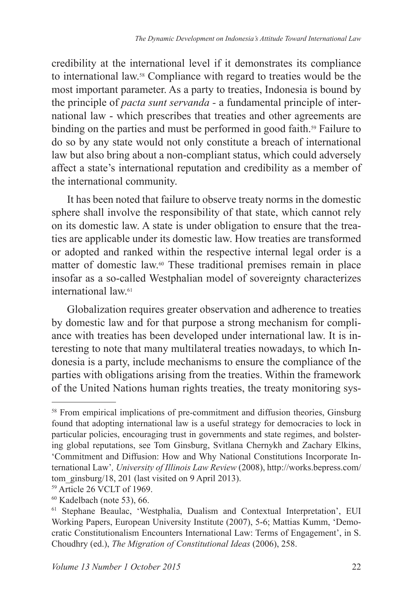credibility at the international level if it demonstrates its compliance to international law.58 Compliance with regard to treaties would be the most important parameter. As a party to treaties, Indonesia is bound by the principle of *pacta sunt servanda -* a fundamental principle of international law - which prescribes that treaties and other agreements are binding on the parties and must be performed in good faith.<sup>59</sup> Failure to do so by any state would not only constitute a breach of international law but also bring about a non-compliant status, which could adversely affect a state's international reputation and credibility as a member of the international community.

It has been noted that failure to observe treaty norms in the domestic sphere shall involve the responsibility of that state, which cannot rely on its domestic law. A state is under obligation to ensure that the treaties are applicable under its domestic law. How treaties are transformed or adopted and ranked within the respective internal legal order is a matter of domestic law.60 These traditional premises remain in place insofar as a so-called Westphalian model of sovereignty characterizes international law<sup>61</sup>

Globalization requires greater observation and adherence to treaties by domestic law and for that purpose a strong mechanism for compliance with treaties has been developed under international law. It is interesting to note that many multilateral treaties nowadays, to which Indonesia is a party, include mechanisms to ensure the compliance of the parties with obligations arising from the treaties. Within the framework of the United Nations human rights treaties, the treaty monitoring sys-

<sup>&</sup>lt;sup>58</sup> From empirical implications of pre-commitment and diffusion theories, Ginsburg found that adopting international law is a useful strategy for democracies to lock in particular policies, encouraging trust in governments and state regimes, and bolstering global reputations, see Tom Ginsburg, Svitlana Chernykh and Zachary Elkins, 'Commitment and Diffusion: How and Why National Constitutions Incorporate International Law'*, University of Illinois Law Review* (2008), http://works.bepress.com/ tom\_ginsburg/18, 201 (last visited on 9 April 2013).

<sup>59</sup> Article 26 VCLT of 1969.

<sup>60</sup> Kadelbach (note 53), 66.

<sup>61</sup> Stephane Beaulac, 'Westphalia, Dualism and Contextual Interpretation', EUI Working Papers, European University Institute (2007), 5-6; Mattias Kumm, 'Democratic Constitutionalism Encounters International Law: Terms of Engagement', in S. Choudhry (ed.), *The Migration of Constitutional Ideas* (2006), 258.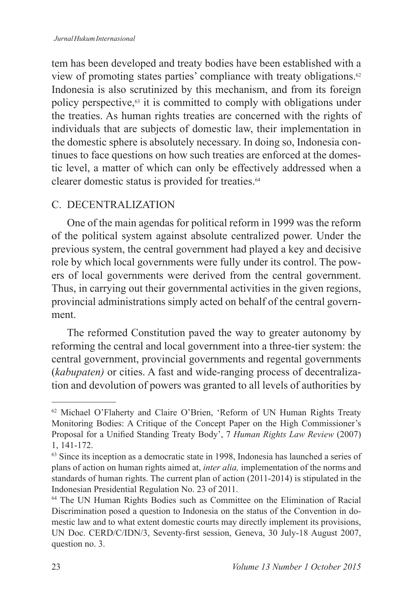tem has been developed and treaty bodies have been established with a view of promoting states parties' compliance with treaty obligations.<sup>62</sup> Indonesia is also scrutinized by this mechanism, and from its foreign policy perspective,63 it is committed to comply with obligations under the treaties. As human rights treaties are concerned with the rights of individuals that are subjects of domestic law, their implementation in the domestic sphere is absolutely necessary. In doing so, Indonesia continues to face questions on how such treaties are enforced at the domestic level, a matter of which can only be effectively addressed when a clearer domestic status is provided for treaties.<sup>64</sup>

## C. DECENTRALIZATION

One of the main agendas for political reform in 1999 was the reform of the political system against absolute centralized power. Under the previous system, the central government had played a key and decisive role by which local governments were fully under its control. The powers of local governments were derived from the central government. Thus, in carrying out their governmental activities in the given regions, provincial administrations simply acted on behalf of the central government.

The reformed Constitution paved the way to greater autonomy by reforming the central and local government into a three-tier system: the central government, provincial governments and regental governments (*kabupaten)* or cities. A fast and wide-ranging process of decentralization and devolution of powers was granted to all levels of authorities by

<sup>62</sup> Michael O'Flaherty and Claire O'Brien, 'Reform of UN Human Rights Treaty Monitoring Bodies: A Critique of the Concept Paper on the High Commissioner's Proposal for a Unified Standing Treaty Body', 7 *Human Rights Law Review* (2007) 1, 141-172.

<sup>&</sup>lt;sup>63</sup> Since its inception as a democratic state in 1998, Indonesia has launched a series of plans of action on human rights aimed at, *inter alia,* implementation of the norms and standards of human rights. The current plan of action (2011-2014) is stipulated in the Indonesian Presidential Regulation No. 23 of 2011.

<sup>64</sup> The UN Human Rights Bodies such as Committee on the Elimination of Racial Discrimination posed a question to Indonesia on the status of the Convention in domestic law and to what extent domestic courts may directly implement its provisions, UN Doc. CERD/C/IDN/3, Seventy-first session, Geneva, 30 July-18 August 2007, question no. 3.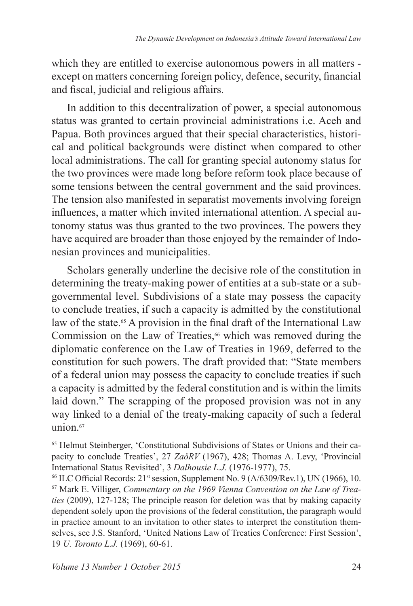which they are entitled to exercise autonomous powers in all matters except on matters concerning foreign policy, defence, security, financial and fiscal, judicial and religious affairs.

In addition to this decentralization of power, a special autonomous status was granted to certain provincial administrations i.e. Aceh and Papua. Both provinces argued that their special characteristics, historical and political backgrounds were distinct when compared to other local administrations. The call for granting special autonomy status for the two provinces were made long before reform took place because of some tensions between the central government and the said provinces. The tension also manifested in separatist movements involving foreign influences, a matter which invited international attention. A special autonomy status was thus granted to the two provinces. The powers they have acquired are broader than those enjoyed by the remainder of Indonesian provinces and municipalities.

Scholars generally underline the decisive role of the constitution in determining the treaty-making power of entities at a sub-state or a subgovernmental level. Subdivisions of a state may possess the capacity to conclude treaties, if such a capacity is admitted by the constitutional law of the state.<sup>65</sup> A provision in the final draft of the International Law Commission on the Law of Treaties, $66$  which was removed during the diplomatic conference on the Law of Treaties in 1969, deferred to the constitution for such powers. The draft provided that: "State members of a federal union may possess the capacity to conclude treaties if such a capacity is admitted by the federal constitution and is within the limits laid down." The scrapping of the proposed provision was not in any way linked to a denial of the treaty-making capacity of such a federal  $union<sup>67</sup>$ 

<sup>65</sup> Helmut Steinberger, 'Constitutional Subdivisions of States or Unions and their capacity to conclude Treaties', 27 *ZaöRV* (1967), 428; Thomas A. Levy, 'Provincial International Status Revisited', 3 *Dalhousie L.J.* (1976-1977), 75.

 $66$  ILC Official Records:  $21$ <sup>st</sup> session, Supplement No. 9 (A/6309/Rev.1), UN (1966), 10. 67 Mark E. Villiger, *Commentary on the 1969 Vienna Convention on the Law of Treaties* (2009), 127-128; The principle reason for deletion was that by making capacity dependent solely upon the provisions of the federal constitution, the paragraph would in practice amount to an invitation to other states to interpret the constitution themselves, see J.S. Stanford, 'United Nations Law of Treaties Conference: first Session', 19 *U. Toronto L.J.* (1969), 60-61.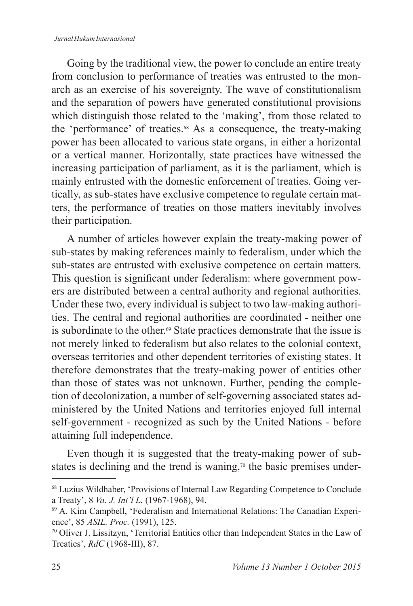#### *Jurnal Hukum Internasional*

Going by the traditional view, the power to conclude an entire treaty from conclusion to performance of treaties was entrusted to the monarch as an exercise of his sovereignty. The wave of constitutionalism and the separation of powers have generated constitutional provisions which distinguish those related to the 'making', from those related to the 'performance' of treaties.<sup>68</sup> As a consequence, the treaty-making power has been allocated to various state organs, in either a horizontal or a vertical manner. Horizontally, state practices have witnessed the increasing participation of parliament, as it is the parliament, which is mainly entrusted with the domestic enforcement of treaties. Going vertically, as sub-states have exclusive competence to regulate certain matters, the performance of treaties on those matters inevitably involves their participation.

A number of articles however explain the treaty-making power of sub-states by making references mainly to federalism, under which the sub-states are entrusted with exclusive competence on certain matters. This question is significant under federalism: where government powers are distributed between a central authority and regional authorities. Under these two, every individual is subject to two law-making authorities. The central and regional authorities are coordinated - neither one is subordinate to the other.<sup>69</sup> State practices demonstrate that the issue is not merely linked to federalism but also relates to the colonial context, overseas territories and other dependent territories of existing states. It therefore demonstrates that the treaty-making power of entities other than those of states was not unknown. Further, pending the completion of decolonization, a number of self-governing associated states administered by the United Nations and territories enjoyed full internal self-government - recognized as such by the United Nations - before attaining full independence.

Even though it is suggested that the treaty-making power of substates is declining and the trend is waning,<sup> $\pi$ </sup> the basic premises under-

<sup>68</sup> Luzius Wildhaber, 'Provisions of Internal Law Regarding Competence to Conclude a Treaty', 8 *Va. J. Int'l L.* (1967-1968), 94.

<sup>69</sup> A. Kim Campbell, 'federalism and International Relations: The Canadian Experience', 85 *ASIL. Proc.* (1991), 125.

<sup>70</sup> Oliver J. Lissitzyn, 'Territorial Entities other than Independent States in the Law of Treaties', *RdC* (1968-III), 87.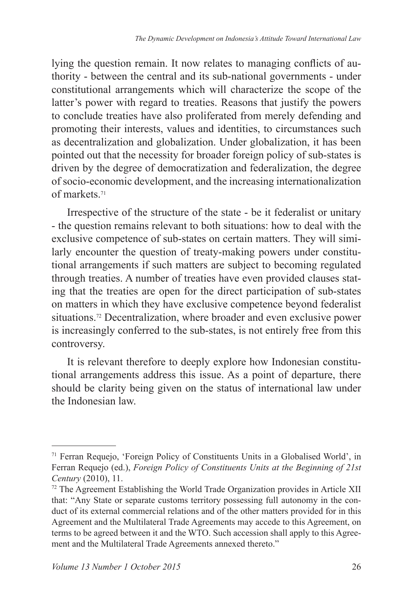lying the question remain. It now relates to managing conflicts of authority - between the central and its sub-national governments - under constitutional arrangements which will characterize the scope of the latter's power with regard to treaties. Reasons that justify the powers to conclude treaties have also proliferated from merely defending and promoting their interests, values and identities, to circumstances such as decentralization and globalization. Under globalization, it has been pointed out that the necessity for broader foreign policy of sub-states is driven by the degree of democratization and federalization, the degree of socio-economic development, and the increasing internationalization of markets.<sup>71</sup>

Irrespective of the structure of the state - be it federalist or unitary - the question remains relevant to both situations: how to deal with the exclusive competence of sub-states on certain matters. They will similarly encounter the question of treaty-making powers under constitutional arrangements if such matters are subject to becoming regulated through treaties. A number of treaties have even provided clauses stating that the treaties are open for the direct participation of sub-states on matters in which they have exclusive competence beyond federalist situations.72 Decentralization, where broader and even exclusive power is increasingly conferred to the sub-states, is not entirely free from this controversy.

It is relevant therefore to deeply explore how Indonesian constitutional arrangements address this issue. As a point of departure, there should be clarity being given on the status of international law under the Indonesian law.

<sup>71</sup> ferran Requejo, 'foreign Policy of Constituents Units in a Globalised World', in ferran Requejo (ed.), *Foreign Policy of Constituents Units at the Beginning of 21st Century* (2010), 11.

<sup>72</sup> The Agreement Establishing the World Trade Organization provides in Article XII that: "Any State or separate customs territory possessing full autonomy in the conduct of its external commercial relations and of the other matters provided for in this Agreement and the Multilateral Trade Agreements may accede to this Agreement, on terms to be agreed between it and the WTO. Such accession shall apply to this Agreement and the Multilateral Trade Agreements annexed thereto."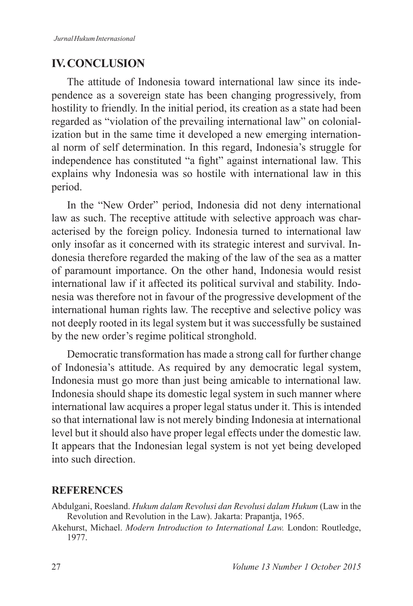## **IV. CONCLUSION**

The attitude of Indonesia toward international law since its independence as a sovereign state has been changing progressively, from hostility to friendly. In the initial period, its creation as a state had been regarded as "violation of the prevailing international law" on colonialization but in the same time it developed a new emerging international norm of self determination. In this regard, Indonesia's struggle for independence has constituted "a fight" against international law. This explains why Indonesia was so hostile with international law in this period.

In the "New Order" period, Indonesia did not deny international law as such. The receptive attitude with selective approach was characterised by the foreign policy. Indonesia turned to international law only insofar as it concerned with its strategic interest and survival. Indonesia therefore regarded the making of the law of the sea as a matter of paramount importance. On the other hand, Indonesia would resist international law if it affected its political survival and stability. Indonesia was therefore not in favour of the progressive development of the international human rights law. The receptive and selective policy was not deeply rooted in its legal system but it was successfully be sustained by the new order's regime political stronghold.

Democratic transformation has made a strong call for further change of Indonesia's attitude. As required by any democratic legal system, Indonesia must go more than just being amicable to international law. Indonesia should shape its domestic legal system in such manner where international law acquires a proper legal status under it. This is intended so that international law is not merely binding Indonesia at international level but it should also have proper legal effects under the domestic law. It appears that the Indonesian legal system is not yet being developed into such direction.

## **REFERENCES**

- Abdulgani, Roesland. *Hukum dalam Revolusi dan Revolusi dalam Hukum* (Law in the Revolution and Revolution in the Law). Jakarta: Prapantja, 1965.
- Akehurst, Michael. *Modern Introduction to International Law.* London: Routledge, 1977.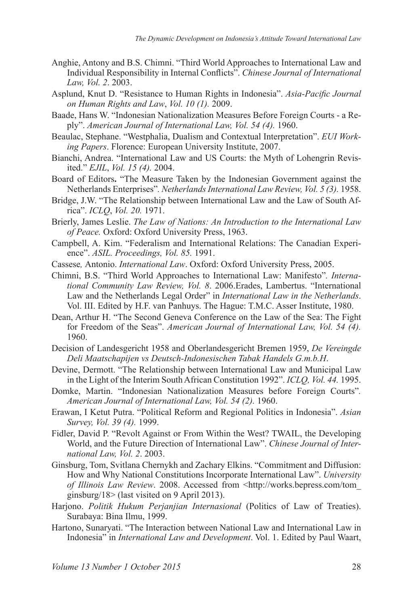- Anghie, Antony and B.S. Chimni. "Third World Approaches to International Law and Individual Responsibility in Internal Conflicts". *Chinese Journal of International Law, Vol. 2*. 2003.
- Asplund, Knut D. "Resistance to Human Rights in Indonesia". *Asia-Pacific Journal on Human Rights and Law*, *Vol. 10 (1).* 2009.
- Baade, Hans W. "Indonesian Nationalization Measures Before Foreign Courts a Reply". *American Journal of International Law, Vol. 54 (4).* 1960.
- Beaulac, Stephane. "Westphalia, Dualism and Contextual Interpretation". *EUI Working Papers*. florence: European University Institute, 2007.
- Bianchi, Andrea. "International Law and US Courts: the Myth of Lohengrin Revisited." *EJIL*, *Vol. 15 (4).* 2004.
- Board of Editors**.** "The Measure Taken by the Indonesian Government against the Netherlands Enterprises"*. Netherlands International Law Review, Vol. 5 (3).* 1958.
- Bridge, J.W. "The Relationship between International Law and the Law of South Africa". *ICLQ*, *Vol. 20.* 1971.
- Brierly, James Leslie. *The Law of Nations: An Introduction to the International Law of Peace.* Oxford: Oxford University Press, 1963.
- Campbell, A. Kim. "federalism and International Relations: The Canadian Experience". *ASIL. Proceedings, Vol. 85.* 1991.
- Cassese*,* Antonio. *International Law*. Oxford: Oxford University Press, 2005.
- Chimni, B.S. "Third World Approaches to International Law: Manifesto"*. International Community Law Review, Vol. 8*. 2006.Erades, Lambertus. "International Law and the Netherlands Legal Order" in *International Law in the Netherlands*. Vol. III. Edited by H.f. van Panhuys. The Hague: T.M.C. Asser Institute, 1980.
- Dean, Arthur H. "The Second Geneva Conference on the Law of the Sea: The fight for Freedom of the Seas". *American Journal of International Law, Vol. 54 (4).*  1960.
- Decision of Landesgericht 1958 and Oberlandesgericht Bremen 1959, *De Vereingde Deli Maatschapijen vs Deutsch-Indonesischen Tabak Handels G.m.b.H*.
- Devine, Dermott. "The Relationship between International Law and Municipal Law in the Light of the Interim South African Constitution 1992". *ICLQ, Vol. 44.* 1995.
- Domke, Martin. "Indonesian Nationalization Measures before Foreign Courts"*. American Journal of International Law, Vol. 54 (2).* 1960.
- Erawan, I Ketut Putra. "Political Reform and Regional Politics in Indonesia". *Asian Survey, Vol. 39 (4).* 1999.
- Fidler, David P. "Revolt Against or From Within the West? TWAIL, the Developing World, and the Future Direction of International Law". *Chinese Journal of International Law, Vol. 2*. 2003.
- Ginsburg, Tom, Svitlana Chernykh and Zachary Elkins. "Commitment and Diffusion: How and Why National Constitutions Incorporate International Law". *University of Illinois Law Review*. 2008. Accessed from <http://works.bepress.com/tom\_ ginsburg/18> (last visited on 9 April 2013).
- Harjono. *Politik Hukum Perjanjian Internasional* (Politics of Law of Treaties). Surabaya: Bina Ilmu, 1999.
- Hartono, Sunaryati. "The Interaction between National Law and International Law in Indonesia" in *International Law and Development*. Vol. 1. Edited by Paul Waart,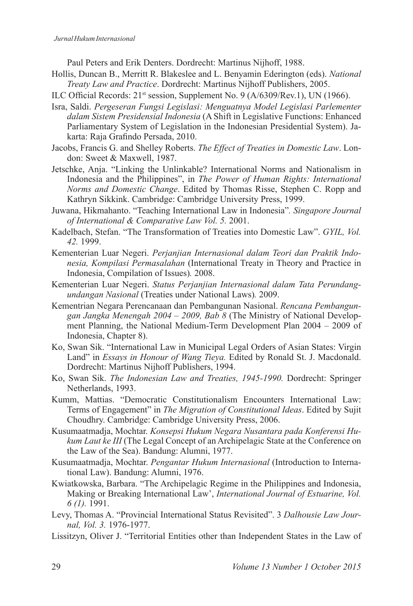Paul Peters and Erik Denters. Dordrecht: Martinus Nijhoff, 1988.

- Hollis, Duncan B., Merritt R. Blakeslee and L. Benyamin Ederington (eds). *National Treaty Law and Practice*. Dordrecht: Martinus Nijhoff Publishers, 2005.
- ILC Official Records:  $21^{st}$  session, Supplement No. 9 (A/6309/Rev.1), UN (1966).
- Isra, Saldi. *Pergeseran Fungsi Legislasi: Menguatnya Model Legislasi Parlementer dalam Sistem Presidensial Indonesia* (A Shift in Legislative functions: Enhanced Parliamentary System of Legislation in the Indonesian Presidential System). Jakarta: Raja Grafindo Persada, 2010.
- Jacobs, Francis G. and Shelley Roberts. *The Effect of Treaties in Domestic Law*. London: Sweet & Maxwell, 1987.
- Jetschke, Anja. "Linking the Unlinkable? International Norms and Nationalism in Indonesia and the Philippines", in *The Power of Human Rights: International Norms and Domestic Change*. Edited by Thomas Risse, Stephen C. Ropp and Kathryn Sikkink. Cambridge: Cambridge University Press, 1999.
- Juwana, Hikmahanto. "Teaching International Law in Indonesia"*. Singapore Journal of International & Comparative Law Vol. 5.* 2001.
- Kadelbach, Stefan. "The Transformation of Treaties into Domestic Law". *GYIL, Vol. 42.* 1999.
- Kementerian Luar Negeri. *Perjanjian Internasional dalam Teori dan Praktik Indonesia, Kompilasi Permasalahan* (International Treaty in Theory and Practice in Indonesia, Compilation of Issues)*.* 2008.
- Kementerian Luar Negeri. *Status Perjanjian Internasional dalam Tata Perundangundangan Nasional* (Treaties under National Laws)*.* 2009.
- Kementrian Negara Perencanaan dan Pembangunan Nasional. *Rencana Pembangungan Jangka Menengah 2004 – 2009, Bab 8* (The Ministry of National Development Planning, the National Medium-Term Development Plan 2004 – 2009 of Indonesia, Chapter 8).
- Ko, Swan Sik. "International Law in Municipal Legal Orders of Asian States: Virgin Land" in *Essays in Honour of Wang Tieya.* Edited by Ronald St. J. Macdonald. Dordrecht: Martinus Nijhoff Publishers, 1994.
- Ko, Swan Sik. *The Indonesian Law and Treaties, 1945-1990.* Dordrecht: Springer Netherlands, 1993.
- Kumm, Mattias. "Democratic Constitutionalism Encounters International Law: Terms of Engagement" in *The Migration of Constitutional Ideas*. Edited by Sujit Choudhry. Cambridge: Cambridge University Press, 2006.
- Kusumaatmadja, Mochtar. *Konsepsi Hukum Negara Nusantara pada Konferensi Hukum Laut ke III* (The Legal Concept of an Archipelagic State at the Conference on the Law of the Sea). Bandung: Alumni, 1977.
- Kusumaatmadja, Mochtar. *Pengantar Hukum Internasional* (Introduction to International Law). Bandung: Alumni, 1976.
- Kwiatkowska, Barbara. "The Archipelagic Regime in the Philippines and Indonesia, Making or Breaking International Law', *International Journal of Estuarine, Vol. 6 (1).* 1991.
- Levy, Thomas A. "Provincial International Status Revisited". 3 *Dalhousie Law Journal, Vol. 3.* 1976-1977.
- Lissitzyn, Oliver J. "Territorial Entities other than Independent States in the Law of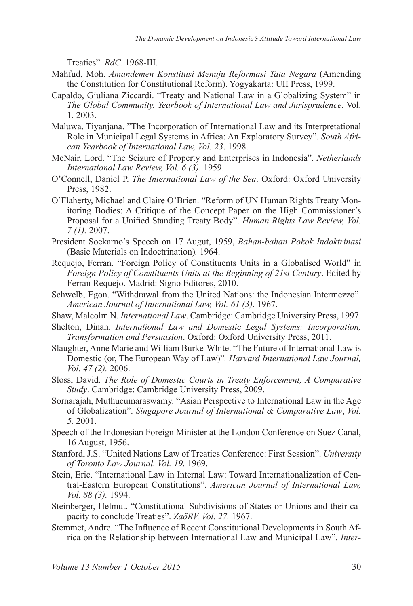Treaties". *RdC*. 1968-III.

- Mahfud, Moh. *Amandemen Konstitusi Menuju Reformasi Tata Negara* (Amending the Constitution for Constitutional Reform). Yogyakarta: UII Press, 1999.
- Capaldo, Giuliana Ziccardi. "Treaty and National Law in a Globalizing System" in *The Global Community. Yearbook of International Law and Jurisprudence*, Vol. 1. 2003.
- Maluwa, Tiyanjana. "The Incorporation of International Law and its Interpretational Role in Municipal Legal Systems in Africa: An Exploratory Survey". *South African Yearbook of International Law, Vol. 23*. 1998.
- McNair, Lord. "The Seizure of Property and Enterprises in Indonesia". *Netherlands International Law Review, Vol. 6 (3).* 1959.
- O'Connell, Daniel P. *The International Law of the Sea*. Oxford: Oxford University Press, 1982.
- O'Flaherty, Michael and Claire O'Brien. "Reform of UN Human Rights Treaty Monitoring Bodies: A Critique of the Concept Paper on the High Commissioner's Proposal for a Unified Standing Treaty Body". *Human Rights Law Review, Vol. 7 (1).* 2007.
- President Soekarno's Speech on 17 Augut, 1959, *Bahan-bahan Pokok Indoktrinasi* (Basic Materials on Indoctrination)*.* 1964.
- Requejo, ferran. "foreign Policy of Constituents Units in a Globalised World" in *Foreign Policy of Constituents Units at the Beginning of 21st Century*. Edited by ferran Requejo. Madrid: Signo Editores, 2010.
- Schwelb, Egon. "Withdrawal from the United Nations: the Indonesian Intermezzo". *American Journal of International Law, Vol. 61 (3)*. 1967.
- Shaw, Malcolm N. *International Law*. Cambridge: Cambridge University Press, 1997.
- Shelton, Dinah. *International Law and Domestic Legal Systems: Incorporation, Transformation and Persuasion*. Oxford: Oxford University Press, 2011.
- Slaughter, Anne Marie and William Burke-White. "The Future of International Law is Domestic (or, The European Way of Law)"*. Harvard International Law Journal, Vol. 47 (2).* 2006.
- Sloss, David. *The Role of Domestic Courts in Treaty Enforcement, A Comparative Study*. Cambridge: Cambridge University Press, 2009.
- Sornarajah, Muthucumaraswamy. "Asian Perspective to International Law in the Age of Globalization". *Singapore Journal of International & Comparative Law*, *Vol. 5.* 2001.
- Speech of the Indonesian Foreign Minister at the London Conference on Suez Canal, 16 August, 1956.
- Stanford, J.S. "United Nations Law of Treaties Conference: first Session". *University of Toronto Law Journal, Vol. 19.* 1969.
- Stein, Eric. "International Law in Internal Law: Toward Internationalization of Central-Eastern European Constitutions". *American Journal of International Law, Vol. 88 (3).* 1994.
- Steinberger, Helmut. "Constitutional Subdivisions of States or Unions and their capacity to conclude Treaties". *ZaöRV, Vol. 27.* 1967.
- Stemmet, Andre. "The Influence of Recent Constitutional Developments in South Africa on the Relationship between International Law and Municipal Law". *Inter-*